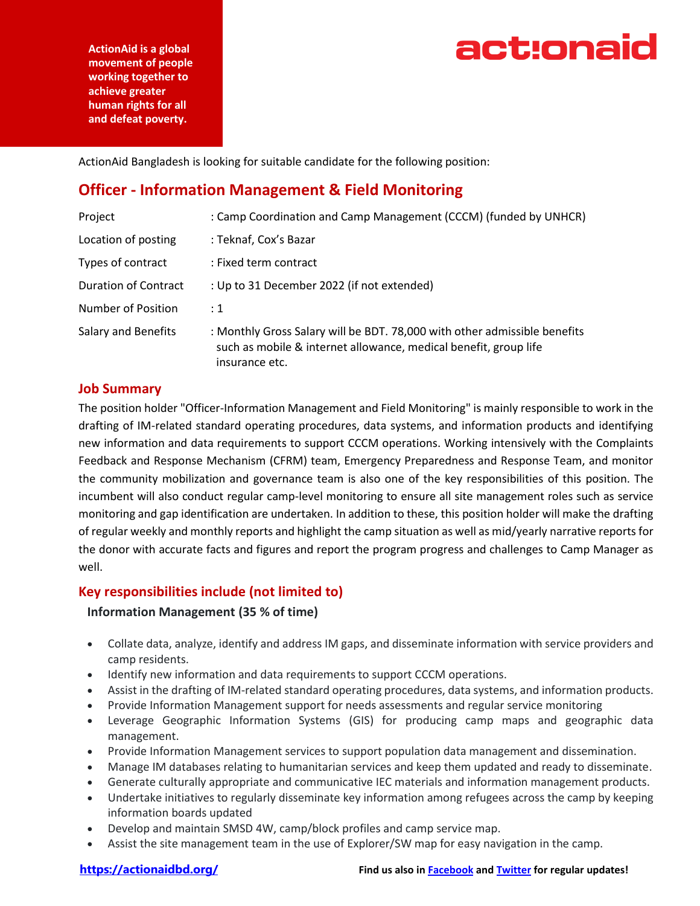

**ActionAid is a global movement of people working together to achieve greater human rights for all and defeat poverty.**

ActionAid Bangladesh is looking for suitable candidate for the following position:

## **Officer - Information Management & Field Monitoring**

| Project                     | : Camp Coordination and Camp Management (CCCM) (funded by UNHCR)                                                                                                |
|-----------------------------|-----------------------------------------------------------------------------------------------------------------------------------------------------------------|
| Location of posting         | : Teknaf, Cox's Bazar                                                                                                                                           |
| Types of contract           | : Fixed term contract                                                                                                                                           |
| <b>Duration of Contract</b> | : Up to 31 December 2022 (if not extended)                                                                                                                      |
| Number of Position          | : 1                                                                                                                                                             |
| Salary and Benefits         | : Monthly Gross Salary will be BDT. 78,000 with other admissible benefits<br>such as mobile & internet allowance, medical benefit, group life<br>insurance etc. |

#### **Job Summary**

The position holder "Officer-Information Management and Field Monitoring" is mainly responsible to work in the drafting of IM-related standard operating procedures, data systems, and information products and identifying new information and data requirements to support CCCM operations. Working intensively with the Complaints Feedback and Response Mechanism (CFRM) team, Emergency Preparedness and Response Team, and monitor the community mobilization and governance team is also one of the key responsibilities of this position. The incumbent will also conduct regular camp-level monitoring to ensure all site management roles such as service monitoring and gap identification are undertaken. In addition to these, this position holder will make the drafting of regular weekly and monthly reports and highlight the camp situation as well as mid/yearly narrative reports for the donor with accurate facts and figures and report the program progress and challenges to Camp Manager as well.

### **Key responsibilities include (not limited to)**

#### **Information Management (35 % of time)**

- Collate data, analyze, identify and address IM gaps, and disseminate information with service providers and camp residents.
- Identify new information and data requirements to support CCCM operations.
- Assist in the drafting of IM-related standard operating procedures, data systems, and information products.
- Provide Information Management support for needs assessments and regular service monitoring
- Leverage Geographic Information Systems (GIS) for producing camp maps and geographic data management.
- Provide Information Management services to support population data management and dissemination.
- Manage IM databases relating to humanitarian services and keep them updated and ready to disseminate.
- Generate culturally appropriate and communicative IEC materials and information management products.
- Undertake initiatives to regularly disseminate key information among refugees across the camp by keeping information boards updated
- Develop and maintain SMSD 4W, camp/block profiles and camp service map.
- Assist the site management team in the use of Explorer/SW map for easy navigation in the camp.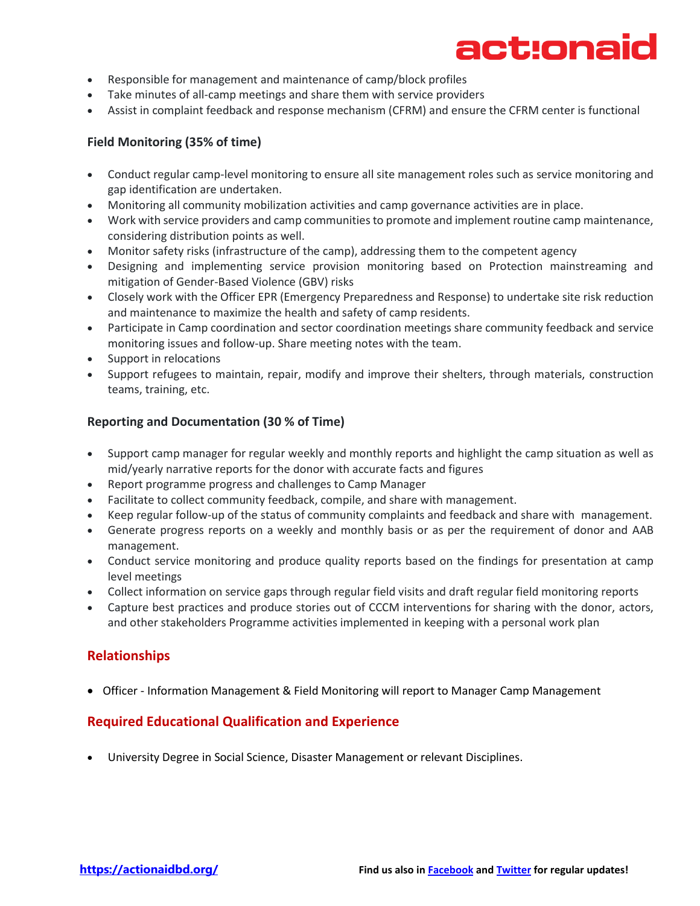# act:onaid

- Responsible for management and maintenance of camp/block profiles
- Take minutes of all-camp meetings and share them with service providers
- Assist in complaint feedback and response mechanism (CFRM) and ensure the CFRM center is functional

#### **Field Monitoring (35% of time)**

- Conduct regular camp-level monitoring to ensure all site management roles such as service monitoring and gap identification are undertaken.
- Monitoring all community mobilization activities and camp governance activities are in place.
- Work with service providers and camp communities to promote and implement routine camp maintenance, considering distribution points as well.
- Monitor safety risks (infrastructure of the camp), addressing them to the competent agency
- Designing and implementing service provision monitoring based on Protection mainstreaming and mitigation of Gender-Based Violence (GBV) risks
- Closely work with the Officer EPR (Emergency Preparedness and Response) to undertake site risk reduction and maintenance to maximize the health and safety of camp residents.
- Participate in Camp coordination and sector coordination meetings share community feedback and service monitoring issues and follow-up. Share meeting notes with the team.
- Support in relocations
- Support refugees to maintain, repair, modify and improve their shelters, through materials, construction teams, training, etc.

#### **Reporting and Documentation (30 % of Time)**

- Support camp manager for regular weekly and monthly reports and highlight the camp situation as well as mid/yearly narrative reports for the donor with accurate facts and figures
- Report programme progress and challenges to Camp Manager
- Facilitate to collect community feedback, compile, and share with management.
- Keep regular follow-up of the status of community complaints and feedback and share with management.
- Generate progress reports on a weekly and monthly basis or as per the requirement of donor and AAB management.
- Conduct service monitoring and produce quality reports based on the findings for presentation at camp level meetings
- Collect information on service gaps through regular field visits and draft regular field monitoring reports
- Capture best practices and produce stories out of CCCM interventions for sharing with the donor, actors, and other stakeholders Programme activities implemented in keeping with a personal work plan

#### **Relationships**

• Officer - Information Management & Field Monitoring will report to Manager Camp Management

### **Required Educational Qualification and Experience**

• University Degree in Social Science, Disaster Management or relevant Disciplines.